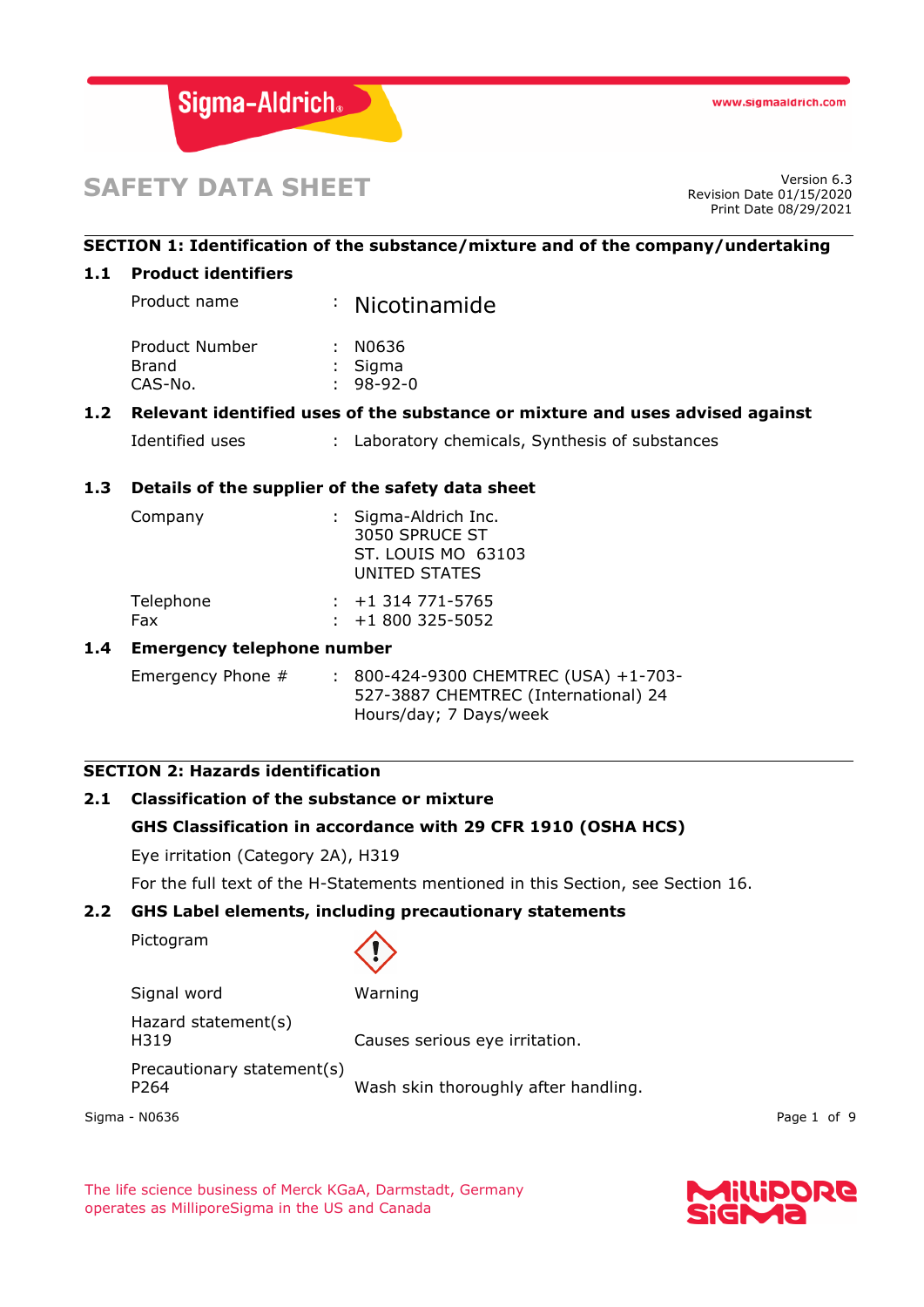

# **SAFETY DATA SHEET**

Revision Date 01/15/2020 Print Date 08/29/2021

#### **SECTION 1: Identification of the substance/mixture and of the company/undertaking**

#### **1.1 Product identifiers**

Product name : Nicotinamide

| Product Number | : N0636     |
|----------------|-------------|
| Brand          | $:$ Sigma   |
| CAS-No.        | $: 98-92-0$ |

#### **1.2 Relevant identified uses of the substance or mixture and uses advised against**

```
Identified uses : Laboratory chemicals, Synthesis of substances
```
#### **1.3 Details of the supplier of the safety data sheet**

| Company   | : Sigma-Aldrich Inc.<br>3050 SPRUCE ST<br>ST. LOUIS MO 63103<br>UNITED STATES |
|-----------|-------------------------------------------------------------------------------|
| Telephone | $: +1314771 - 5765$                                                           |
| Fax       | $: +1800325 - 5052$                                                           |

#### **1.4 Emergency telephone number**

Emergency Phone # : 800-424-9300 CHEMTREC (USA) +1-703-527-3887 CHEMTREC (International) 24 Hours/day; 7 Days/week

#### **SECTION 2: Hazards identification**

## **2.1 Classification of the substance or mixture GHS Classification in accordance with 29 CFR 1910 (OSHA HCS)**

Eye irritation (Category 2A), H319

For the full text of the H-Statements mentioned in this Section, see Section 16.

#### **2.2 GHS Label elements, including precautionary statements**

Pictogram



| Signal word                        | Warning                              |
|------------------------------------|--------------------------------------|
| Hazard statement(s)<br>H319        | Causes serious eye irritation.       |
| Precautionary statement(s)<br>P264 | Wash skin thoroughly after handling. |

Sigma - N0636 Page 1 of 9

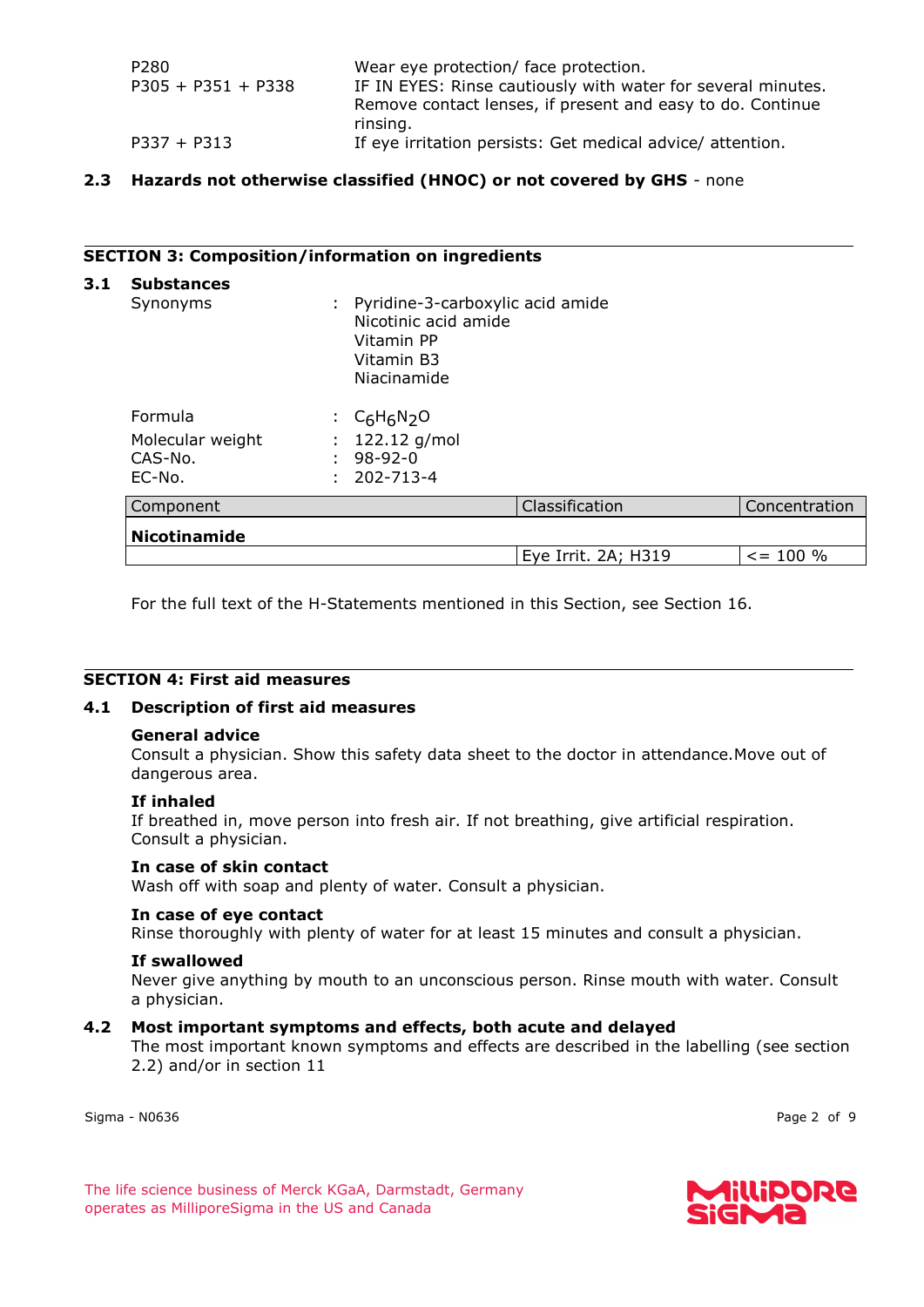| P280                 | Wear eye protection/ face protection.                        |
|----------------------|--------------------------------------------------------------|
| $P305 + P351 + P338$ | IF IN EYES: Rinse cautiously with water for several minutes. |
|                      | Remove contact lenses, if present and easy to do. Continue   |
|                      | rinsing.                                                     |
| $P337 + P313$        | If eye irritation persists: Get medical advice/ attention.   |

#### **2.3 Hazards not otherwise classified (HNOC) or not covered by GHS** - none

#### **SECTION 3: Composition/information on ingredients**

| <b>Substances</b><br>Synonyms           | Pyridine-3-carboxylic acid amide<br>Nicotinic acid amide<br>Vitamin PP<br>Vitamin B3<br>Niacinamide |                     |               |
|-----------------------------------------|-----------------------------------------------------------------------------------------------------|---------------------|---------------|
| Formula                                 | $C_6H_6N_2O$<br>t.                                                                                  |                     |               |
| Molecular weight<br>CAS-No.<br>$EC-NO.$ | $: 122.12$ g/mol<br>$98 - 92 - 0$<br>202-713-4                                                      |                     |               |
| Component                               |                                                                                                     | Classification      | Concentration |
| <b>Nicotinamide</b>                     |                                                                                                     |                     |               |
|                                         |                                                                                                     | Eye Irrit. 2A; H319 | $\le$ = 100 % |

For the full text of the H-Statements mentioned in this Section, see Section 16.

#### **SECTION 4: First aid measures**

#### **4.1 Description of first aid measures**

#### **General advice**

Consult a physician. Show this safety data sheet to the doctor in attendance.Move out of dangerous area.

#### **If inhaled**

If breathed in, move person into fresh air. If not breathing, give artificial respiration. Consult a physician.

#### **In case of skin contact**

Wash off with soap and plenty of water. Consult a physician.

#### **In case of eye contact**

Rinse thoroughly with plenty of water for at least 15 minutes and consult a physician.

#### **If swallowed**

Never give anything by mouth to an unconscious person. Rinse mouth with water. Consult a physician.

#### **4.2 Most important symptoms and effects, both acute and delayed**

The most important known symptoms and effects are described in the labelling (see section 2.2) and/or in section 11

Sigma - N0636 Page 2 of 9

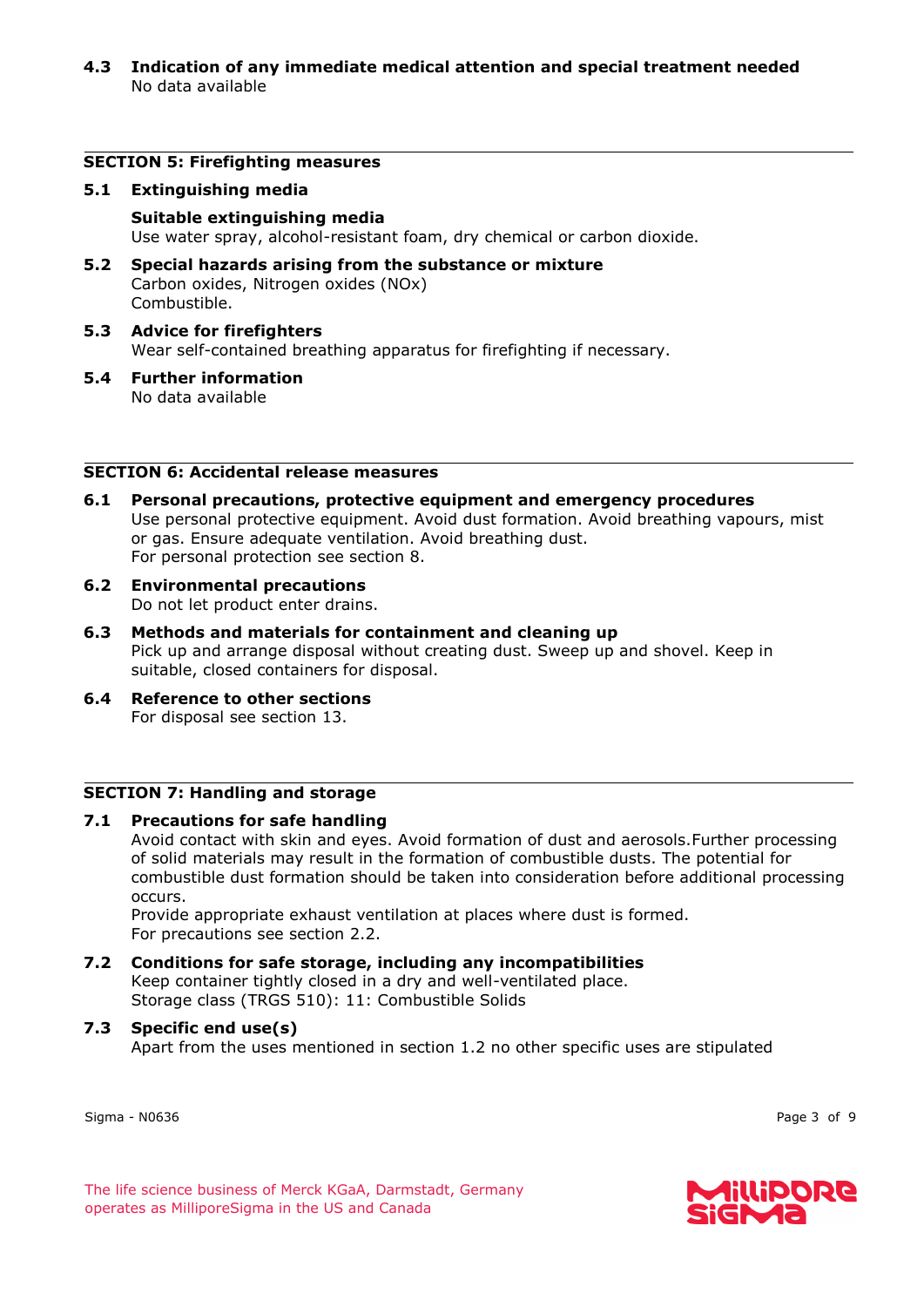#### **4.3 Indication of any immediate medical attention and special treatment needed** No data available

#### **SECTION 5: Firefighting measures**

#### **5.1 Extinguishing media**

#### **Suitable extinguishing media**

Use water spray, alcohol-resistant foam, dry chemical or carbon dioxide.

- **5.2 Special hazards arising from the substance or mixture** Carbon oxides, Nitrogen oxides (NOx) Combustible.
- **5.3 Advice for firefighters** Wear self-contained breathing apparatus for firefighting if necessary.
- **5.4 Further information** No data available

#### **SECTION 6: Accidental release measures**

- **6.1 Personal precautions, protective equipment and emergency procedures** Use personal protective equipment. Avoid dust formation. Avoid breathing vapours, mist or gas. Ensure adequate ventilation. Avoid breathing dust. For personal protection see section 8.
- **6.2 Environmental precautions** Do not let product enter drains.
- **6.3 Methods and materials for containment and cleaning up** Pick up and arrange disposal without creating dust. Sweep up and shovel. Keep in suitable, closed containers for disposal.
- **6.4 Reference to other sections** For disposal see section 13.

#### **SECTION 7: Handling and storage**

#### **7.1 Precautions for safe handling**

Avoid contact with skin and eyes. Avoid formation of dust and aerosols.Further processing of solid materials may result in the formation of combustible dusts. The potential for combustible dust formation should be taken into consideration before additional processing occurs.

Provide appropriate exhaust ventilation at places where dust is formed. For precautions see section 2.2.

**7.2 Conditions for safe storage, including any incompatibilities** Keep container tightly closed in a dry and well-ventilated place. Storage class (TRGS 510): 11: Combustible Solids

#### **7.3 Specific end use(s)**

Apart from the uses mentioned in section 1.2 no other specific uses are stipulated

Sigma - N0636 Page 3 of 9



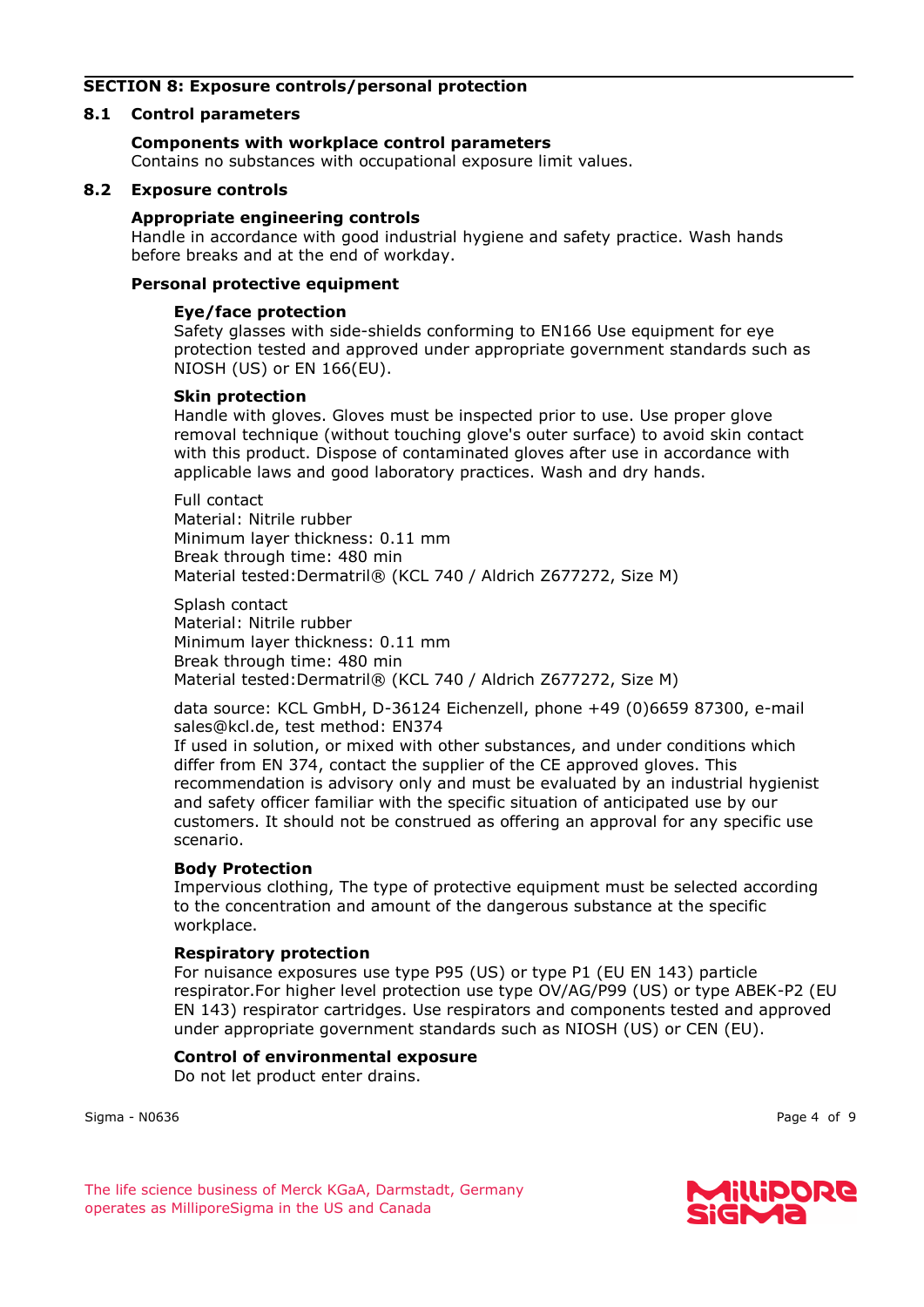#### **SECTION 8: Exposure controls/personal protection**

#### **8.1 Control parameters**

#### **Components with workplace control parameters**

Contains no substances with occupational exposure limit values.

#### **8.2 Exposure controls**

#### **Appropriate engineering controls**

Handle in accordance with good industrial hygiene and safety practice. Wash hands before breaks and at the end of workday.

#### **Personal protective equipment**

#### **Eye/face protection**

Safety glasses with side-shields conforming to EN166 Use equipment for eye protection tested and approved under appropriate government standards such as NIOSH (US) or EN 166(EU).

#### **Skin protection**

Handle with gloves. Gloves must be inspected prior to use. Use proper glove removal technique (without touching glove's outer surface) to avoid skin contact with this product. Dispose of contaminated gloves after use in accordance with applicable laws and good laboratory practices. Wash and dry hands.

Full contact Material: Nitrile rubber Minimum layer thickness: 0.11 mm Break through time: 480 min Material tested:Dermatril® (KCL 740 / Aldrich Z677272, Size M)

Splash contact Material: Nitrile rubber Minimum layer thickness: 0.11 mm Break through time: 480 min Material tested:Dermatril® (KCL 740 / Aldrich Z677272, Size M)

data source: KCL GmbH, D-36124 Eichenzell, phone +49 (0)6659 87300, e-mail sales@kcl.de, test method: EN374

If used in solution, or mixed with other substances, and under conditions which differ from EN 374, contact the supplier of the CE approved gloves. This recommendation is advisory only and must be evaluated by an industrial hygienist and safety officer familiar with the specific situation of anticipated use by our customers. It should not be construed as offering an approval for any specific use scenario.

#### **Body Protection**

Impervious clothing, The type of protective equipment must be selected according to the concentration and amount of the dangerous substance at the specific workplace.

#### **Respiratory protection**

For nuisance exposures use type P95 (US) or type P1 (EU EN 143) particle respirator.For higher level protection use type OV/AG/P99 (US) or type ABEK-P2 (EU EN 143) respirator cartridges. Use respirators and components tested and approved under appropriate government standards such as NIOSH (US) or CEN (EU).

#### **Control of environmental exposure**

Do not let product enter drains.

Sigma - N0636 Page 4 of 9

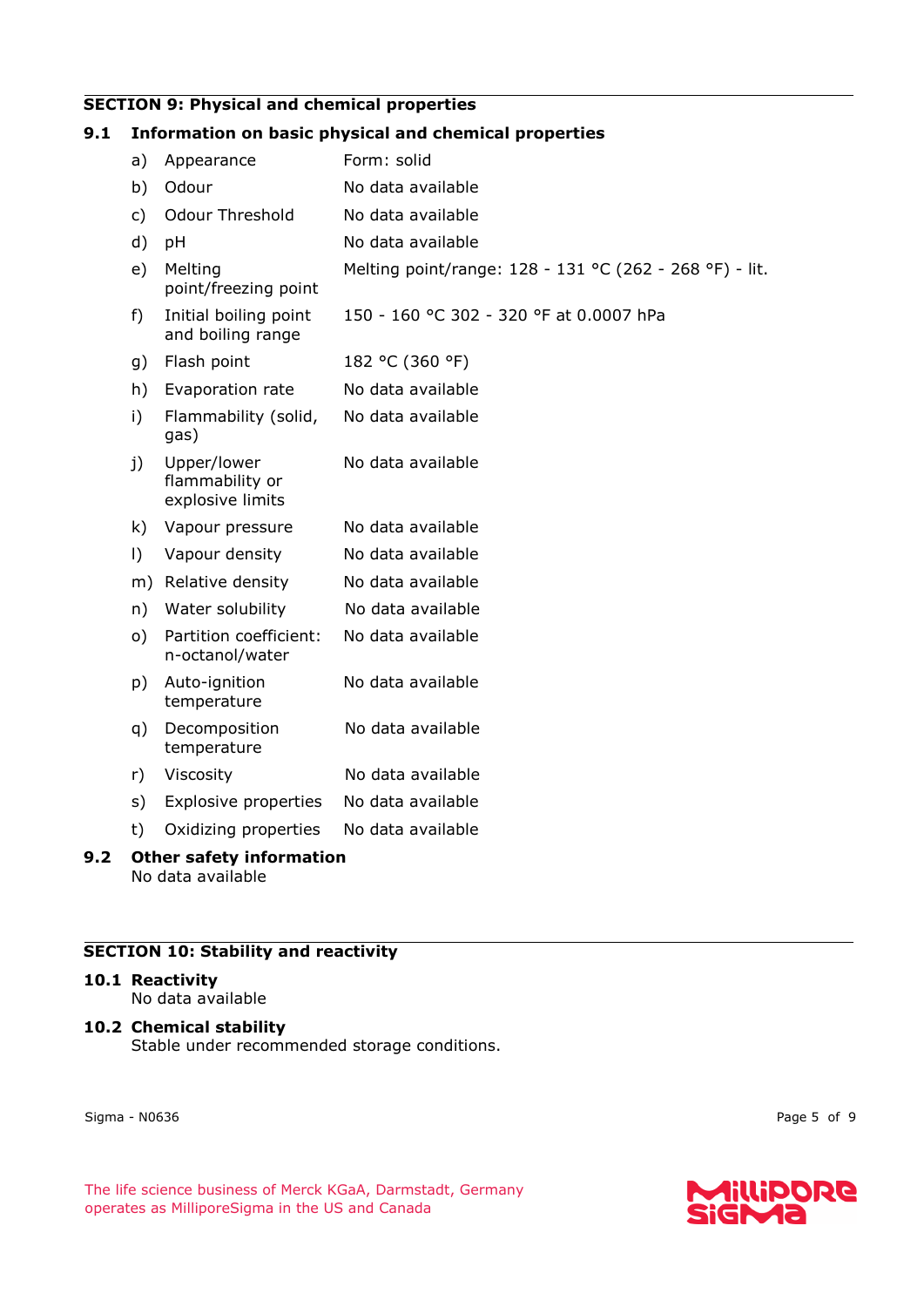#### **SECTION 9: Physical and chemical properties**

#### **9.1 Information on basic physical and chemical properties** a) Appearance Form: solid b) Odour No data available c) Odour Threshold No data available d) pH No data available e) Melting point/freezing point Melting point/range: 128 - 131 °C (262 - 268 °F) - lit. f) Initial boiling point and boiling range 150 - 160 °C 302 - 320 °F at 0.0007 hPa g) Flash point 182 °C (360 °F) h) Evaporation rate No data available i) Flammability (solid, gas) No data available j) Upper/lower flammability or explosive limits No data available k) Vapour pressure No data available l) Vapour density No data available m) Relative density No data available n) Water solubility No data available o) Partition coefficient: n-octanol/water No data available p) Auto-ignition temperature No data available q) Decomposition temperature No data available r) Viscosity No data available s) Explosive properties No data available t) Oxidizing properties No data available

#### **9.2 Other safety information** No data available

#### **SECTION 10: Stability and reactivity**

#### **10.1 Reactivity**

No data available

#### **10.2 Chemical stability**

Stable under recommended storage conditions.

Sigma - N0636 Page 5 of 9

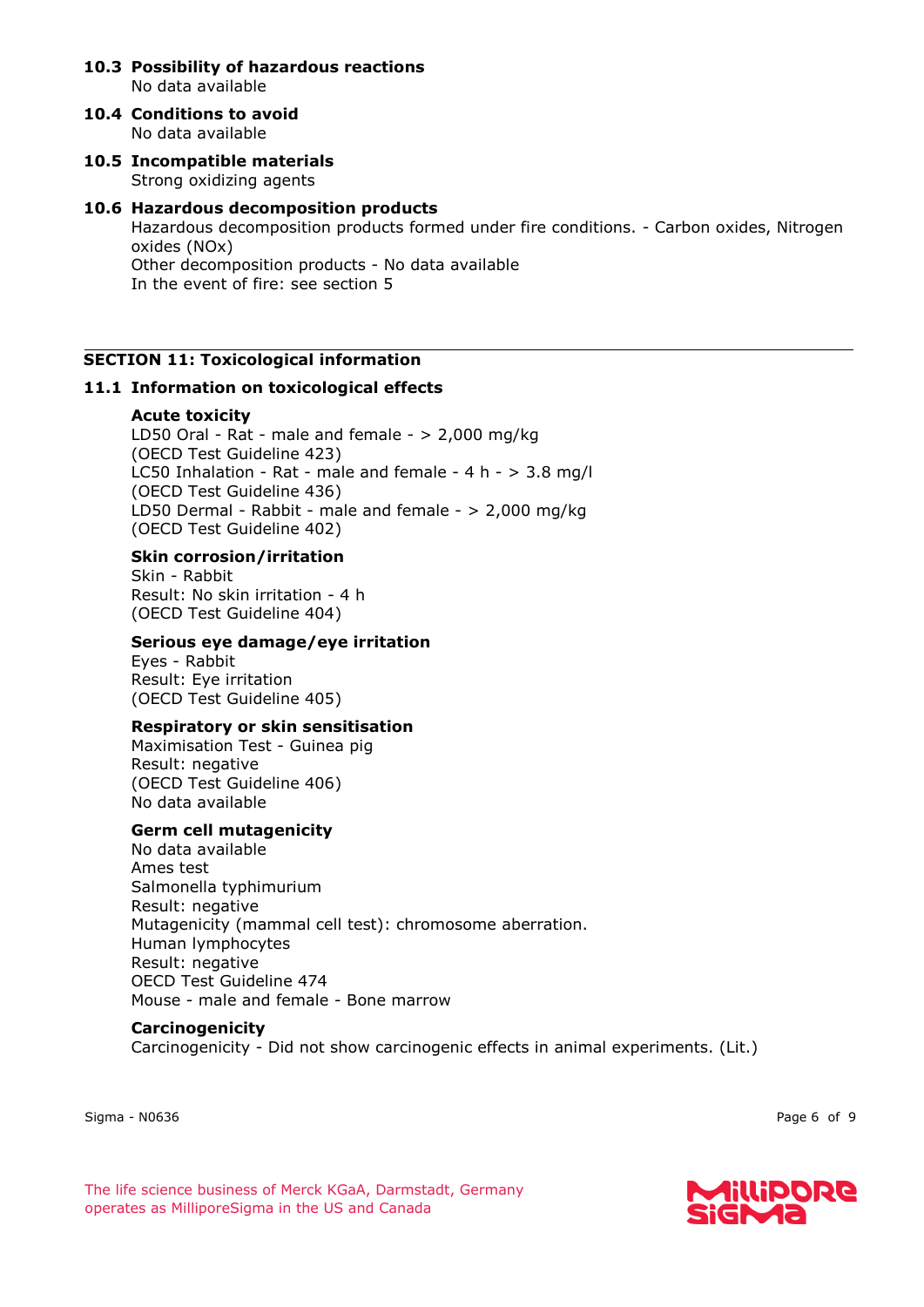- **10.3 Possibility of hazardous reactions** No data available
- **10.4 Conditions to avoid** No data available
- **10.5 Incompatible materials** Strong oxidizing agents

#### **10.6 Hazardous decomposition products** Hazardous decomposition products formed under fire conditions. - Carbon oxides, Nitrogen oxides (NOx) Other decomposition products - No data available In the event of fire: see section 5

#### **SECTION 11: Toxicological information**

#### **11.1 Information on toxicological effects**

#### **Acute toxicity**

LD50 Oral - Rat - male and female - > 2,000 mg/kg (OECD Test Guideline 423) LC50 Inhalation - Rat - male and female - 4 h - > 3.8 mg/l (OECD Test Guideline 436) LD50 Dermal - Rabbit - male and female - > 2,000 mg/kg (OECD Test Guideline 402)

#### **Skin corrosion/irritation**

Skin - Rabbit Result: No skin irritation - 4 h (OECD Test Guideline 404)

#### **Serious eye damage/eye irritation**

Eyes - Rabbit Result: Eye irritation (OECD Test Guideline 405)

#### **Respiratory or skin sensitisation**

Maximisation Test - Guinea pig Result: negative (OECD Test Guideline 406) No data available

#### **Germ cell mutagenicity**

No data available Ames test Salmonella typhimurium Result: negative Mutagenicity (mammal cell test): chromosome aberration. Human lymphocytes Result: negative OECD Test Guideline 474 Mouse - male and female - Bone marrow

#### **Carcinogenicity**

Carcinogenicity - Did not show carcinogenic effects in animal experiments. (Lit.)

Sigma - N0636 Page 6 of 9

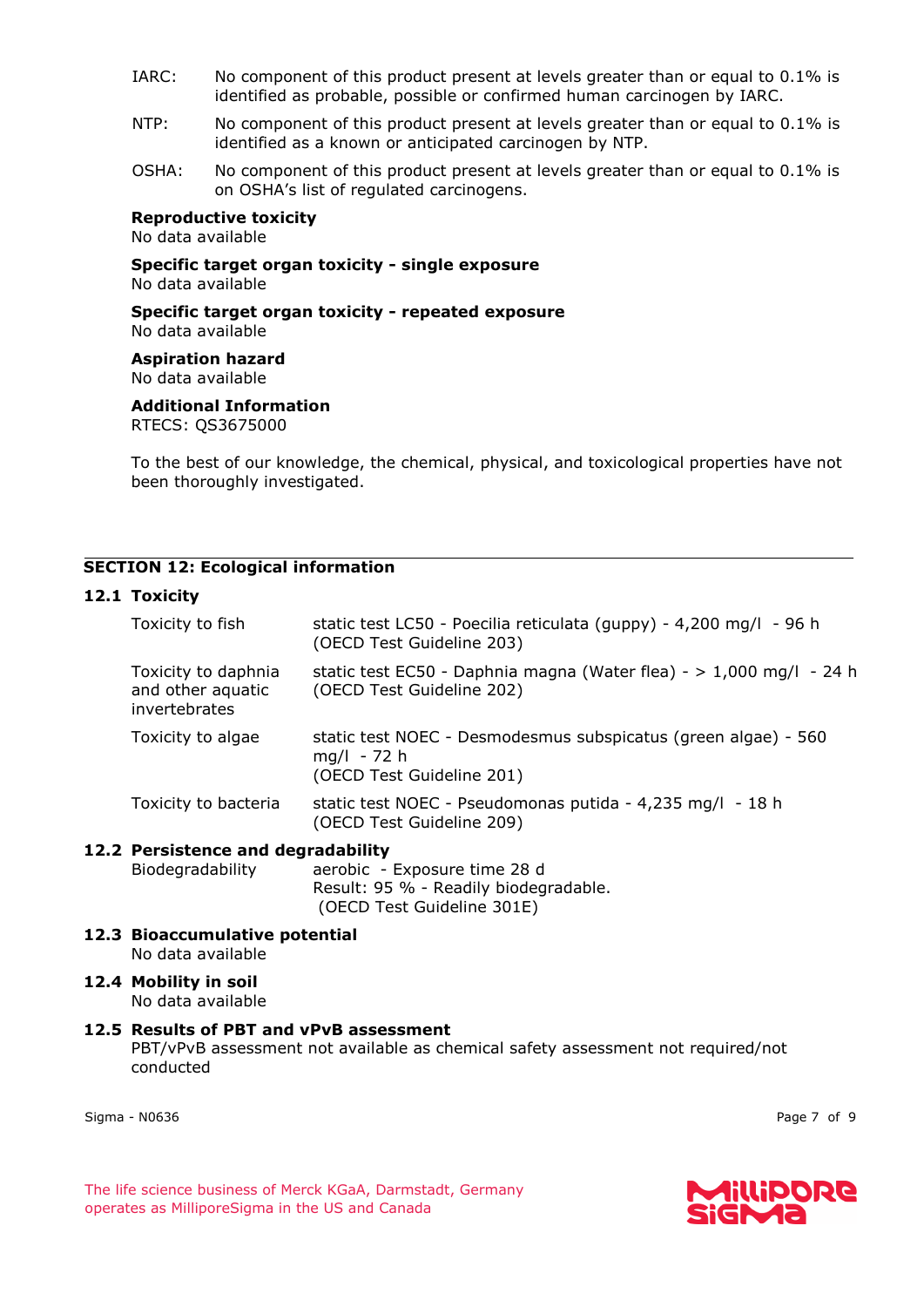- IARC: No component of this product present at levels greater than or equal to 0.1% is identified as probable, possible or confirmed human carcinogen by IARC.
- NTP: No component of this product present at levels greater than or equal to 0.1% is identified as a known or anticipated carcinogen by NTP.
- OSHA: No component of this product present at levels greater than or equal to 0.1% is on OSHA's list of regulated carcinogens.

### **Reproductive toxicity**

No data available

**Specific target organ toxicity - single exposure** No data available

**Specific target organ toxicity - repeated exposure** No data available

**Aspiration hazard** No data available

**Additional Information** RTECS: QS3675000

To the best of our knowledge, the chemical, physical, and toxicological properties have not been thoroughly investigated.

#### **SECTION 12: Ecological information**

#### **12.1 Toxicity**

| Toxicity to fish                                                 | static test LC50 - Poecilia reticulata (guppy) - 4,200 mg/l - 96 h<br>(OECD Test Guideline 203)              |
|------------------------------------------------------------------|--------------------------------------------------------------------------------------------------------------|
| Toxicity to daphnia<br>and other aquatic<br><i>invertebrates</i> | static test EC50 - Daphnia magna (Water flea) - $> 1,000$ mg/l - 24 h<br>(OECD Test Guideline 202)           |
| Toxicity to algae                                                | static test NOEC - Desmodesmus subspicatus (green algae) - 560<br>$mq/l - 72 h$<br>(OECD Test Guideline 201) |
| Toxicity to bacteria                                             | static test NOEC - Pseudomonas putida - 4,235 mg/l - 18 h<br>(OECD Test Guideline 209)                       |

#### **12.2 Persistence and degradability**

Biodegradability aerobic - Exposure time 28 d Result: 95 % - Readily biodegradable. (OECD Test Guideline 301E)

**12.3 Bioaccumulative potential** No data available

#### **12.4 Mobility in soil** No data available

#### **12.5 Results of PBT and vPvB assessment**

PBT/vPvB assessment not available as chemical safety assessment not required/not conducted

Sigma - N0636 Page 7 of 9

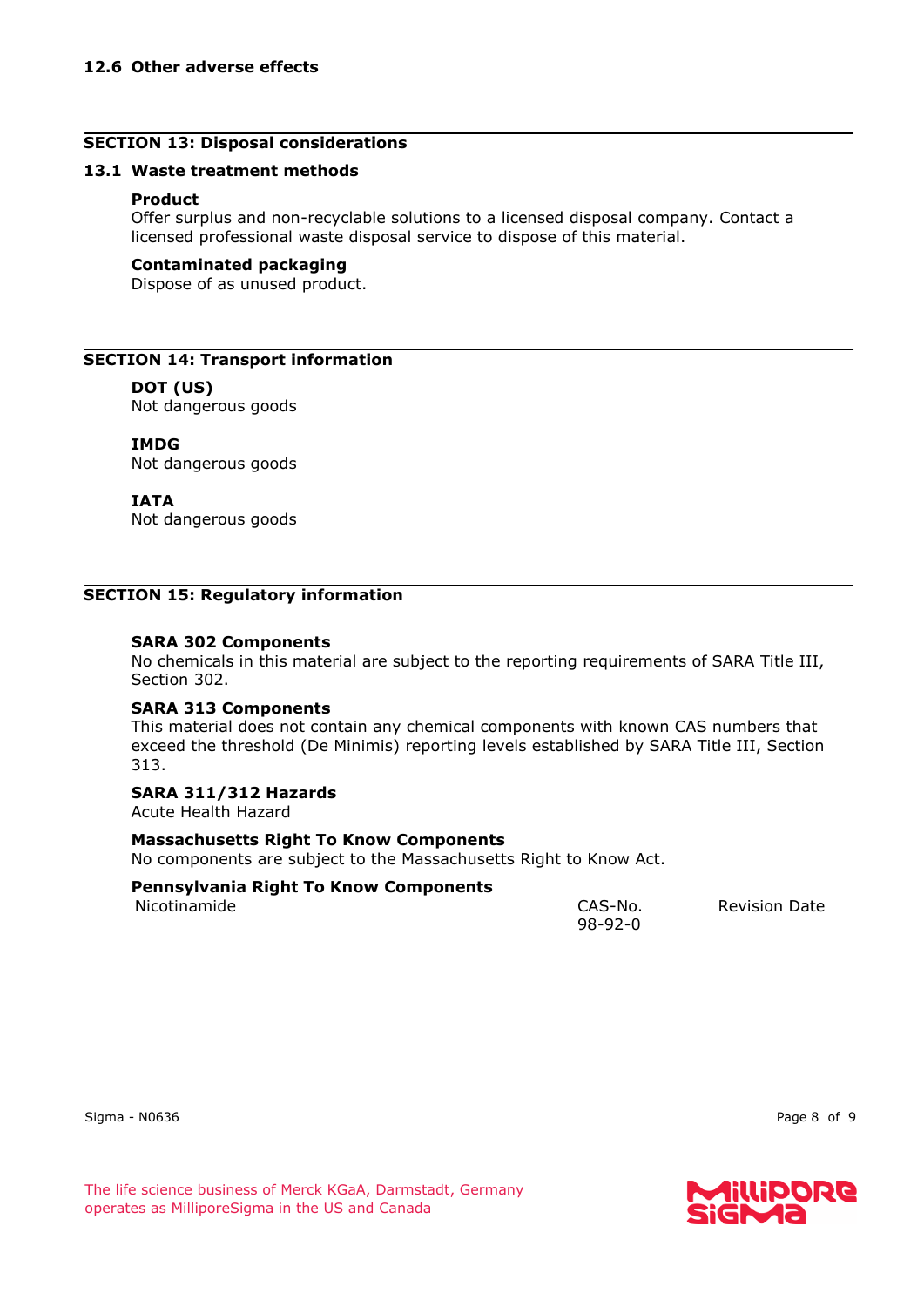#### **SECTION 13: Disposal considerations**

#### **13.1 Waste treatment methods**

#### **Product**

Offer surplus and non-recyclable solutions to a licensed disposal company. Contact a licensed professional waste disposal service to dispose of this material.

#### **Contaminated packaging**

Dispose of as unused product.

#### **SECTION 14: Transport information**

#### **DOT (US)**

Not dangerous goods

#### **IMDG**

Not dangerous goods

#### **IATA**

Not dangerous goods

#### **SECTION 15: Regulatory information**

#### **SARA 302 Components**

No chemicals in this material are subject to the reporting requirements of SARA Title III, Section 302.

#### **SARA 313 Components**

This material does not contain any chemical components with known CAS numbers that exceed the threshold (De Minimis) reporting levels established by SARA Title III, Section 313.

#### **SARA 311/312 Hazards**

Acute Health Hazard

#### **Massachusetts Right To Know Components**

No components are subject to the Massachusetts Right to Know Act.

# **Pennsylvania Right To Know Components**

| Nicotinamide | CAS-No. | <b>Revision Date</b> |
|--------------|---------|----------------------|
|              | 98-92-0 |                      |
|              |         |                      |

Sigma - N0636 Page 8 of 9